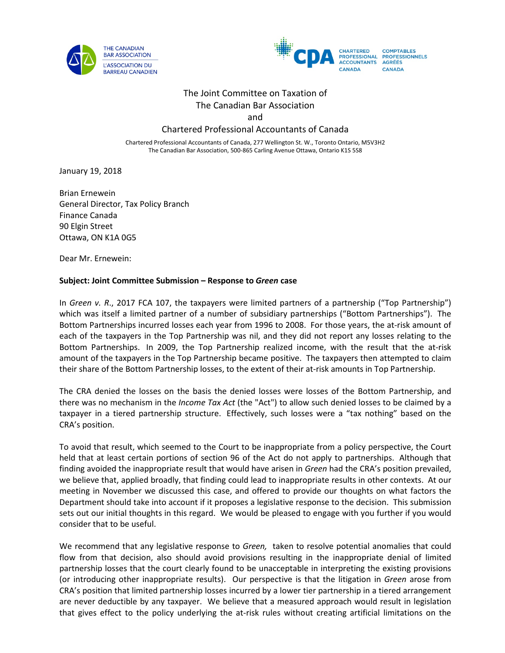



# The Joint Committee on Taxation of The Canadian Bar Association

and

# Chartered Professional Accountants of Canada

Chartered Professional Accountants of Canada, 277 Wellington St. W., Toronto Ontario, M5V3H2 The Canadian Bar Association, 500-865 Carling Avenue Ottawa, Ontario K1S 5S8

January 19, 2018

Brian Ernewein General Director, Tax Policy Branch Finance Canada 90 Elgin Street Ottawa, ON K1A 0G5

Dear Mr. Ernewein:

#### **Subject: Joint Committee Submission – Response to** *Green* **case**

In *Green v. R.*, 2017 FCA 107, the taxpayers were limited partners of a partnership ("Top Partnership") which was itself a limited partner of a number of subsidiary partnerships ("Bottom Partnerships"). The Bottom Partnerships incurred losses each year from 1996 to 2008. For those years, the at-risk amount of each of the taxpayers in the Top Partnership was nil, and they did not report any losses relating to the Bottom Partnerships. In 2009, the Top Partnership realized income, with the result that the at-risk amount of the taxpayers in the Top Partnership became positive. The taxpayers then attempted to claim their share of the Bottom Partnership losses, to the extent of their at-risk amounts in Top Partnership.

The CRA denied the losses on the basis the denied losses were losses of the Bottom Partnership, and there was no mechanism in the *Income Tax Act* (the "Act") to allow such denied losses to be claimed by a taxpayer in a tiered partnership structure. Effectively, such losses were a "tax nothing" based on the CRA's position.

To avoid that result, which seemed to the Court to be inappropriate from a policy perspective, the Court held that at least certain portions of section 96 of the Act do not apply to partnerships. Although that finding avoided the inappropriate result that would have arisen in *Green* had the CRA's position prevailed, we believe that, applied broadly, that finding could lead to inappropriate results in other contexts. At our meeting in November we discussed this case, and offered to provide our thoughts on what factors the Department should take into account if it proposes a legislative response to the decision. This submission sets out our initial thoughts in this regard. We would be pleased to engage with you further if you would consider that to be useful.

We recommend that any legislative response to *Green,* taken to resolve potential anomalies that could flow from that decision, also should avoid provisions resulting in the inappropriate denial of limited partnership losses that the court clearly found to be unacceptable in interpreting the existing provisions (or introducing other inappropriate results). Our perspective is that the litigation in *Green* arose from CRA's position that limited partnership losses incurred by a lower tier partnership in a tiered arrangement are never deductible by any taxpayer. We believe that a measured approach would result in legislation that gives effect to the policy underlying the at-risk rules without creating artificial limitations on the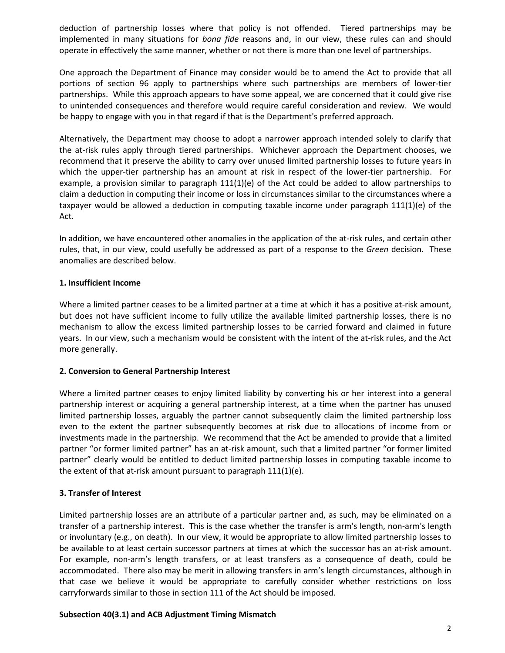deduction of partnership losses where that policy is not offended. Tiered partnerships may be implemented in many situations for *bona fide* reasons and, in our view, these rules can and should operate in effectively the same manner, whether or not there is more than one level of partnerships.

One approach the Department of Finance may consider would be to amend the Act to provide that all portions of section 96 apply to partnerships where such partnerships are members of lower-tier partnerships. While this approach appears to have some appeal, we are concerned that it could give rise to unintended consequences and therefore would require careful consideration and review. We would be happy to engage with you in that regard if that is the Department's preferred approach.

Alternatively, the Department may choose to adopt a narrower approach intended solely to clarify that the at-risk rules apply through tiered partnerships. Whichever approach the Department chooses, we recommend that it preserve the ability to carry over unused limited partnership losses to future years in which the upper-tier partnership has an amount at risk in respect of the lower-tier partnership. For example, a provision similar to paragraph 111(1)(e) of the Act could be added to allow partnerships to claim a deduction in computing their income or loss in circumstances similar to the circumstances where a taxpayer would be allowed a deduction in computing taxable income under paragraph 111(1)(e) of the Act.

In addition, we have encountered other anomalies in the application of the at-risk rules, and certain other rules, that, in our view, could usefully be addressed as part of a response to the *Green* decision. These anomalies are described below.

### **1. Insufficient Income**

Where a limited partner ceases to be a limited partner at a time at which it has a positive at-risk amount, but does not have sufficient income to fully utilize the available limited partnership losses, there is no mechanism to allow the excess limited partnership losses to be carried forward and claimed in future years. In our view, such a mechanism would be consistent with the intent of the at-risk rules, and the Act more generally.

# **2. Conversion to General Partnership Interest**

Where a limited partner ceases to enjoy limited liability by converting his or her interest into a general partnership interest or acquiring a general partnership interest, at a time when the partner has unused limited partnership losses, arguably the partner cannot subsequently claim the limited partnership loss even to the extent the partner subsequently becomes at risk due to allocations of income from or investments made in the partnership. We recommend that the Act be amended to provide that a limited partner "or former limited partner" has an at-risk amount, such that a limited partner "or former limited partner" clearly would be entitled to deduct limited partnership losses in computing taxable income to the extent of that at-risk amount pursuant to paragraph 111(1)(e).

# **3. Transfer of Interest**

Limited partnership losses are an attribute of a particular partner and, as such, may be eliminated on a transfer of a partnership interest. This is the case whether the transfer is arm's length, non-arm's length or involuntary (e.g., on death). In our view, it would be appropriate to allow limited partnership losses to be available to at least certain successor partners at times at which the successor has an at-risk amount. For example, non-arm's length transfers, or at least transfers as a consequence of death, could be accommodated. There also may be merit in allowing transfers in arm's length circumstances, although in that case we believe it would be appropriate to carefully consider whether restrictions on loss carryforwards similar to those in section 111 of the Act should be imposed.

# **Subsection 40(3.1) and ACB Adjustment Timing Mismatch**